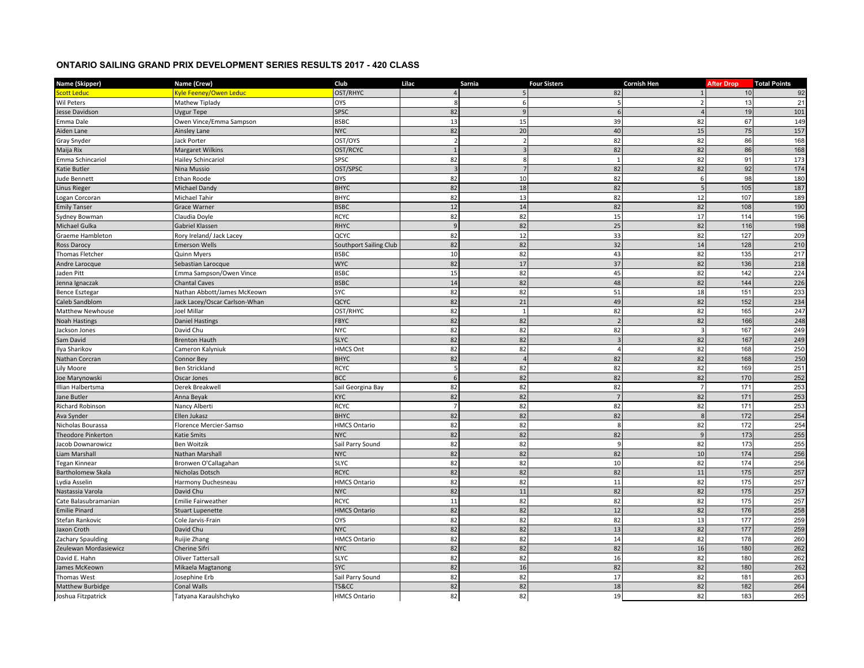## **ONTARIO SAILING GRAND PRIX DEVELOPMENT SERIES RESULTS 2017 - 420 CLASS**

| Name (Skipper)             | Name (Crew)                   | Club                   | Lilac                | Sarnia         | <b>Four Sisters</b> | Cornish Hen              | <b>After Drop</b> | <b>Total Points</b> |
|----------------------------|-------------------------------|------------------------|----------------------|----------------|---------------------|--------------------------|-------------------|---------------------|
| i <mark>cott Ledu</mark> c | Kyle Feeney/Owen Leduc        | OST/RHYC               | $\overline{4}$       | 5              | 82                  |                          | 10                | 92                  |
| Wil Peters                 | Mathew Tiplady                | <b>OYS</b>             | 8                    | 6              |                     | $\overline{\phantom{a}}$ | 13                | 21                  |
| Jesse Davidson             | Uygur Tepe                    | SPSC                   | 82                   | 9              | 6                   |                          | 19                | 101                 |
| Emma Dale                  | Owen Vince/Emma Sampson       | <b>BSBC</b>            | 13                   | 15             | 39                  | 82                       | 67                | 149                 |
| Aiden Lane                 | Ainsley Lane                  | <b>NYC</b>             | 82                   | 20             | 40                  | 15                       | 75                | 157                 |
| Gray Snyder                | <b>Jack Porter</b>            | OST/OYS                | $\overline{2}$       |                | 82                  | 82                       | 86                | 168                 |
| Maija Rix                  | <b>Margaret Wilkins</b>       | OST/RCYC               | $\mathbf{1}$         | $\overline{3}$ | 82                  | 82                       | 86                | 168                 |
| Emma Schincariol           | Hailey Schincariol            | SPSC                   | 82                   | 8              | 1                   | 82                       | 91                | 173                 |
| Katie Butler               | Nina Mussio                   | OST/SPSC               | $\overline{3}$       |                | 82                  | 82                       | 92                | 174                 |
| Jude Bennett               | <b>Ethan Roode</b>            | OYS                    | 82                   | 10             | 82                  | 6                        | 98                | 180                 |
| Linus Rieger               | Michael Dandy                 | <b>BHYC</b>            | 82                   | 18             | 82                  | $\overline{5}$           | 105               | 187                 |
| ogan Corcoran              | Michael Tahir                 | <b>BHYC</b>            | 82                   | 13             | 82                  | 12                       | 107               | 189                 |
| <b>Emily Tanser</b>        | <b>Grace Warner</b>           | <b>BSBC</b>            | 12                   | 14             | 82                  | 82                       | 108               | 190                 |
| Sydney Bowman              | Claudia Doyle                 | <b>RCYC</b>            | 82                   | 82             | 15                  | 17                       | 114               | 196                 |
| Michael Gulka              | Gabriel Klassen               | <b>RHYC</b>            | 9                    | 82             | 25                  | 82                       | 116               | 198                 |
| Graeme Hambleton           | Rory Ireland/ Jack Lacey      | QCYC                   | 82                   | 12             | 33                  | 82                       | 127               | 209                 |
| Ross Darocy                | <b>Emerson Wells</b>          | Southport Sailing Club | 82                   | 82             | 32                  | 14                       | 128               | 210                 |
| Thomas Fletcher            | Quinn Myers                   | <b>BSBC</b>            | 10                   | 82             | 43                  | 82                       | 135               | 217                 |
| Andre Larocque             | Sebastian Larocque            | <b>WYC</b>             | 82                   | 17             | 37                  | 82                       | 136               | 218                 |
| Jaden Pitt                 | Emma Sampson/Owen Vince       | <b>BSBC</b>            | 15                   | 82             | 45                  | 82                       | 142               | 224                 |
| Jenna Ignaczak             | <b>Chantal Caves</b>          | <b>BSBC</b>            | 14                   | 82             | 48                  | 82                       | 144               | 226                 |
| Bence Esztegar             | Nathan Abbott/James McKeown   | <b>SYC</b>             | 82                   | 82             | 51                  | 18                       | 151               | 233                 |
| Caleb Sandblom             | Jack Lacey/Oscar Carlson-Whan | QCYC                   | 82                   | 21             | 49                  | 82                       | 152               | 234                 |
| Matthew Newhouse           | Joel Millar                   | OST/RHYC               | 82                   | 1              | 82                  | 82                       | 165               | 247                 |
| <b>Voah Hastings</b>       | <b>Daniel Hastings</b>        | <b>FBYC</b>            | 82                   | 82             | $\overline{2}$      | 82                       | 166               | 248                 |
| ackson Jones               | David Chu                     | <b>NYC</b>             | 82                   | 82             | 82                  | $\overline{\mathbf{3}}$  | 167               | 249                 |
| Sam David                  | <b>Brenton Hauth</b>          | <b>SLYC</b>            | 82                   | 82             | $\overline{3}$      | 82                       | 167               | 249                 |
| lya Sharikov               | Cameron Kalyniuk              | <b>HMCS Ont</b>        | 82                   | 82             | $\overline{4}$      | 82                       | 168               | 250                 |
| <b>Nathan Corcran</b>      | Connor Bey                    | <b>BHYC</b>            | 82                   | $\overline{A}$ | 82                  | 82                       | 168               | 250                 |
| Lily Moore                 | <b>Ben Strickland</b>         | <b>RCYC</b>            | 5                    | 82             | 82                  | 82                       | 169               | 251                 |
|                            |                               | <b>BCC</b>             | 6                    | 82             | 82                  | 82                       | 170               |                     |
| loe Marynowski             | Oscar Jones                   |                        |                      | 82             |                     | $\overline{7}$           |                   | 252                 |
| llian Halbertsma           | Derek Breakwell               | Sail Georgina Bay      | 82                   |                | 82                  |                          | 171               | 253                 |
| Jane Butler                | Anna Beyak                    | <b>KYC</b>             | 82<br>$\overline{7}$ | 82             | $7\overline{ }$     | 82                       | 171               | 253                 |
| Richard Robinson           | Nancy Alberti                 | <b>RCYC</b>            |                      | 82             | 82                  | 82                       | 171               | 253                 |
| Ava Synder                 | Ellen Jukasz                  | <b>BHYC</b>            | 82                   | 82             | 82                  | 8                        | 172               | 254                 |
| Nicholas Bourassa          | Florence Mercier-Samso        | <b>HMCS Ontario</b>    | 82                   | 82             | 8                   | 82                       | 172               | 254                 |
| <b>Theodore Pinkerton</b>  | Katie Smits                   | <b>NYC</b>             | 82                   | 82             | 82                  | 9                        | 173               | 255                 |
| Jacob Downarowicz          | <b>Ben Woitzik</b>            | Sail Parry Sound       | 82                   | 82             | 9                   | 82                       | 173               | 255                 |
| iam Marshall.              | Nathan Marshall               | <b>NYC</b>             | 82                   | 82             | 82                  | 10                       | 174               | 256                 |
| <b>Tegan Kinnear</b>       | Bronwen O'Callagahan          | <b>SLYC</b>            | 82                   | 82             | 10                  | 82                       | 174               | 256                 |
| Bartholomew Skala          | Nicholas Dotsch               | <b>RCYC</b>            | 82                   | 82             | 82                  | 11                       | 175               | 257                 |
| ydia Asselin               | Harmony Duchesneau            | <b>HMCS Ontario</b>    | 82                   | 82             | 11                  | 82                       | 175               | 257                 |
| Nastassia Varola           | David Chu                     | <b>NYC</b>             | 82                   | 11             | 82                  | 82                       | 175               | 257                 |
| Cate Balasubramanian       | <b>Emilie Fairweather</b>     | <b>RCYC</b>            | 11                   | 82             | 82                  | 82                       | 175               | 257                 |
| <b>Emilie Pinard</b>       | <b>Stuart Lupenette</b>       | <b>HMCS Ontario</b>    | 82                   | 82             | 12                  | 82                       | 176               | 258                 |
| Stefan Rankovic            | Cole Jarvis-Frain             | <b>OYS</b>             | 82                   | 82             | 82                  | 13                       | 177               | 259                 |
| Jaxon Croth                | David Chu                     | <b>NYC</b>             | 82                   | 82             | 13                  | 82                       | 177               | 259                 |
| Zachary Spaulding          | Ruijie Zhang                  | <b>HMCS Ontario</b>    | 82                   | 82             | 14                  | 82                       | 178               | 260                 |
| Zeulewan Mordasiewicz      | Cherine Sifri                 | <b>NYC</b>             | 82                   | 82             | 82                  | 16                       | 180               | 262                 |
| David E. Hahn              | <b>Oliver Tattersall</b>      | <b>SLYC</b>            | 82                   | 82             | 16                  | 82                       | 180               | 262                 |
| James McKeown              | Mikaela Magtanong             | <b>SYC</b>             | 82                   | 16             | 82                  | 82                       | 180               | 262                 |
| Thomas West                | Josephine Erb                 | Sail Parry Sound       | 82                   | 82             | 17                  | 82                       | 181               | 263                 |
| Matthew Burbidge           | <b>Conal Walls</b>            | TS&CC                  | 82                   | 82             | 18                  | 82                       | 182               | 264                 |
| Joshua Fitzpatrick         | Tatyana Karaulshchyko         | <b>HMCS Ontario</b>    | 82                   | 82             | 19                  | 82                       | 183               | 265                 |